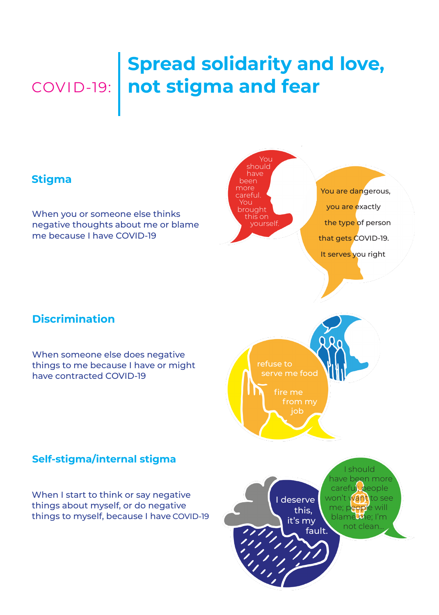# COVID-19: **Spread solidarity and love, not stigma and fear**

### **Stigma**

When you or someone else thinks negative thoughts about me or blame me because I have COVID-19

 You should have been more careful. You brought this on yourself.

 You are dangerous, you are exactly the type of person that gets COVID-19. It serves you right

## **Discrimination**

When someone else does negative things to me because I have or might have contracted COVID-19



#### When I start to think or say negative things about myself, or do negative things to myself, because I have COVID-19

**Self-stigma/internal stigma**

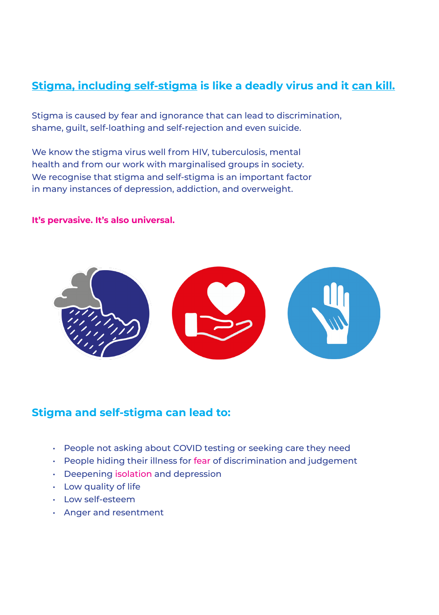### **Stigma, including self-stigma is like a deadly virus and it can kill.**

Stigma is caused by fear and ignorance that can lead to discrimination, shame, guilt, self-loathing and self-rejection and even suicide.

We know the stigma virus well from HIV, tuberculosis, mental health and from our work with marginalised groups in society. We recognise that stigma and self-stigma is an important factor in many instances of depression, addiction, and overweight.

#### **It's pervasive. It's also universal.**



### **Stigma and self-stigma can lead to:**

- People not asking about COVID testing or seeking care they need •
- People hiding their illness for fear of discrimination and judgement
- Deepening isolation and depression
- Low quality of life
- Low self-esteem
- Anger and resentment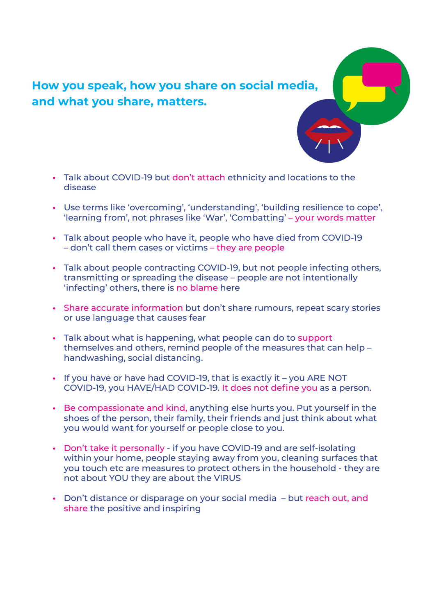

- Talk about COVID-19 but don't attach ethnicity and locations to the **•** disease
- Use terms like 'overcoming', 'understanding', 'building resilience to cope', **•** 'learning from', not phrases like 'War', 'Combatting' – your words matter
- Talk about people who have it, people who have died from COVID-19 **•** – don't call them cases or victims – they are people
- Talk about people contracting COVID-19, but not people infecting others, **•** transmitting or spreading the disease – people are not intentionally 'infecting' others, there is no blame here
- Share accurate information but don't share rumours, repeat scary stories **•** or use language that causes fear
- Talk about what is happening, what people can do to support **•** themselves and others, remind people of the measures that can help – handwashing, social distancing.
- If you have or have had COVID-19, that is exactly it you ARE NOT COVID-19, you HAVE/HAD COVID-19. It does not define you as a person.
- Be compassionate and kind, anything else hurts you. Put yourself in the **•** shoes of the person, their family, their friends and just think about what you would want for yourself or people close to you.
- Don't take it personally if you have COVID-19 and are self-isolating **•** within your home, people staying away from you, cleaning surfaces that you touch etc are measures to protect others in the household - they are not about YOU they are about the VIRUS
- Don't distance or disparage on your social media but reach out, and **•**share the positive and inspiring